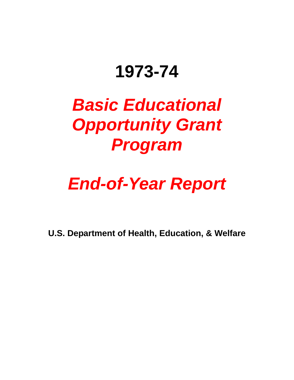# **1973-74**

# *Basic Educational Opportunity Grant Program*

# *End-of-Year Report*

**U.S. Department of Health, Education, & Welfare**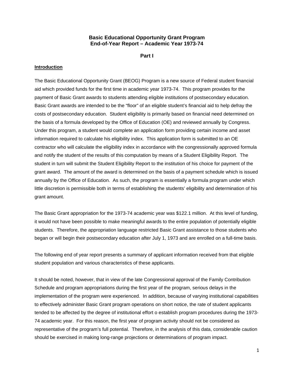### **Basic Educational Opportunity Grant Program End-of-Year Report – Academic Year 1973-74**

**Part I** 

#### **Introduction**

The Basic Educational Opportunity Grant (BEOG) Program is a new source of Federal student financial aid which provided funds for the first time in academic year 1973-74. This program provides for the payment of Basic Grant awards to students attending eligible institutions of postsecondary education. Basic Grant awards are intended to be the "floor" of an eligible student's financial aid to help defray the costs of postsecondary education. Student eligibility is primarily based on financial need determined on the basis of a formula developed by the Office of Education (OE) and reviewed annually by Congress. Under this program, a student would complete an application form providing certain income and asset information required to calculate his eligibility index. This application form is submitted to an OE contractor who will calculate the eligibility index in accordance with the congressionally approved formula and notify the student of the results of this computation by means of a Student Eligibility Report. The student in turn will submit the Student Eligibility Report to the institution of his choice for payment of the grant award. The amount of the award is determined on the basis of a payment schedule which is issued annually by the Office of Education. As such, the program is essentially a formula program under which little discretion is permissible both in terms of establishing the students' eligibility and determination of his grant amount.

The Basic Grant appropriation for the 1973-74 academic year was \$122.1 million. At this level of funding, it would not have been possible to make meaningful awards to the entire population of potentially eligible students. Therefore, the appropriation language restricted Basic Grant assistance to those students who began or will begin their postsecondary education after July 1, 1973 and are enrolled on a full-time basis.

The following end of year report presents a summary of applicant information received from that eligible student population and various characteristics of these applicants.

It should be noted, however, that in view of the late Congressional approval of the Family Contribution Schedule and program appropriations during the first year of the program, serious delays in the implementation of the program were experienced. In addition, because of varying institutional capabilities to effectively administer Basic Grant program operations on short notice, the rate of student applicants tended to be affected by the degree of institutional effort o establish program procedures during the 1973- 74 academic year. For this reason, the first year of program activity should not be considered as representative of the program's full potential. Therefore, in the analysis of this data, considerable caution should be exercised in making long-range projections or determinations of program impact.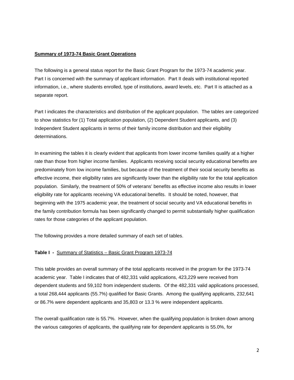#### **Summary of 1973-74 Basic Grant Operations**

The following is a general status report for the Basic Grant Program for the 1973-74 academic year. Part I is concerned with the summary of applicant information. Part II deals with institutional reported information, i.e., where students enrolled, type of institutions, award levels, etc. Part II is attached as a separate report.

Part I indicates the characteristics and distribution of the applicant population. The tables are categorized to show statistics for (1) Total application population, (2) Dependent Student applicants, and (3) Independent Student applicants in terms of their family income distribution and their eligibility determinations.

In examining the tables it is clearly evident that applicants from lower income families qualify at a higher rate than those from higher income families. Applicants receiving social security educational benefits are predominately from low income families, but because of the treatment of their social security benefits as effective income, their eligibility rates are significantly lower than the eligibility rate for the total application population. Similarly, the treatment of 50% of veterans' benefits as effective income also results in lower eligibility rate for applicants receiving VA educational benefits. It should be noted, however, that beginning with the 1975 academic year, the treatment of social security and VA educational benefits in the family contribution formula has been significantly changed to permit substantially higher qualification rates for those categories of the applicant population.

The following provides a more detailed summary of each set of tables.

#### **Table I -** Summary of Statistics – Basic Grant Program 1973-74

This table provides an overall summary of the total applicants received in the program for the 1973-74 academic year. Table I indicates that of 482,331 valid applications, 423,229 were received from dependent students and 59,102 from independent students. Of the 482,331 valid applications processed, a total 268,444 applicants (55.7%) qualified for Basic Grants. Among the qualifying applicants, 232,641 or 86.7% were dependent applicants and 35,803 or 13.3 % were independent applicants.

The overall qualification rate is 55.7%. However, when the qualifying population is broken down among the various categories of applicants, the qualifying rate for dependent applicants is 55.0%, for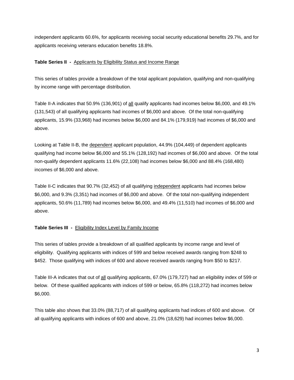independent applicants 60.6%, for applicants receiving social security educational benefits 29.7%, and for applicants receiving veterans education benefits 18.8%.

## **Table Series II -** Applicants by Eligibility Status and Income Range

This series of tables provide a breakdown of the total applicant population, qualifying and non-qualifying by income range with percentage distribution.

Table II-A indicates that 50.9% (136,901) of all qualify applicants had incomes below \$6,000, and 49.1% (131,543) of all qualifying applicants had incomes of \$6,000 and above. Of the total non-qualifying applicants, 15.9% (33,968) had incomes below \$6,000 and 84.1% (179,919) had incomes of \$6,000 and above.

Looking at Table II-B, the dependent applicant population, 44.9% (104,449) of dependent applicants qualifying had income below \$6,000 and 55.1% (128,192) had incomes of \$6,000 and above. Of the total non-qualify dependent applicants 11.6% (22,108) had incomes below \$6,000 and 88.4% (168,480) incomes of \$6,000 and above.

Table II-C indicates that 90.7% (32,452) of all qualifying independent applicants had incomes below \$6,000, and 9.3% (3,351) had incomes of \$6,000 and above. Of the total non-qualifying independent applicants, 50.6% (11,789) had incomes below \$6,000, and 49.4% (11,510) had incomes of \$6,000 and above.

# **Table Series III -** Eligibility Index Level by Family Income

This series of tables provide a breakdown of all qualified applicants by income range and level of eligibility. Qualifying applicants with indices of 599 and below received awards ranging from \$248 to \$452. Those qualifying with indices of 600 and above received awards ranging from \$50 to \$217.

Table III-A indicates that out of all qualifying applicants, 67.0% (179,727) had an eligibility index of 599 or below. Of these qualified applicants with indices of 599 or below, 65.8% (118,272) had incomes below \$6,000.

This table also shows that 33.0% (88,717) of all qualifying applicants had indices of 600 and above. Of all qualifying applicants with indices of 600 and above, 21.0% (18,629) had incomes below \$6,000.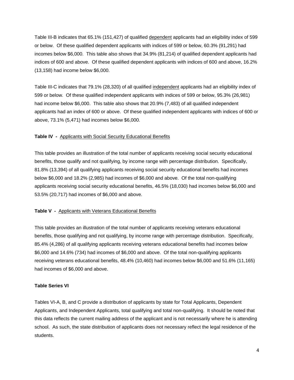Table III-B indicates that 65.1% (151,427) of qualified dependent applicants had an eligibility index of 599 or below. Of these qualified dependent applicants with indices of 599 or below, 60.3% (91,291) had incomes below \$6,000. This table also shows that 34.9% (81,214) of qualified dependent applicants had indices of 600 and above. Of these qualified dependent applicants with indices of 600 and above, 16.2% (13,158) had income below \$6,000.

Table III-C indicates that 79.1% (28,320) of all qualified independent applicants had an eligibility index of 599 or below. Of these qualified independent applicants with indices of 599 or below, 95.3% (26,981) had income below \$6,000. This table also shows that 20.9% (7,483) of all qualified independent applicants had an index of 600 or above. Of these qualified independent applicants with indices of 600 or above, 73.1% (5,471) had incomes below \$6,000.

## **Table IV -** Applicants with Social Security Educational Benefits

This table provides an illustration of the total number of applicants receiving social security educational benefits, those qualify and not qualifying, by income range with percentage distribution. Specifically, 81.8% (13,394) of all qualifying applicants receiving social security educational benefits had incomes below \$6,000 and 18.2% (2,985) had incomes of \$6,000 and above. Of the total non-qualifying applicants receiving social security educational benefits, 46.5% (18,030) had incomes below \$6,000 and 53.5% (20,717) had incomes of \$6,000 and above.

## **Table V -** Applicants with Veterans Educational Benefits

This table provides an illustration of the total number of applicants receiving veterans educational benefits, those qualifying and not qualifying, by income range with percentage distribution. Specifically, 85.4% (4,286) of all qualifying applicants receiving veterans educational benefits had incomes below \$6,000 and 14.6% (734) had incomes of \$6,000 and above. Of the total non-qualifying applicants receiving veterans educational benefits, 48.4% (10,460) had incomes below \$6,000 and 51.6% (11,165) had incomes of \$6,000 and above.

## **Table Series VI**

Tables VI-A, B, and C provide a distribution of applicants by state for Total Applicants, Dependent Applicants, and Independent Applicants, total qualifying and total non-qualifying. It should be noted that this data reflects the current mailing address of the applicant and is not necessarily where he is attending school. As such, the state distribution of applicants does not necessary reflect the legal residence of the students.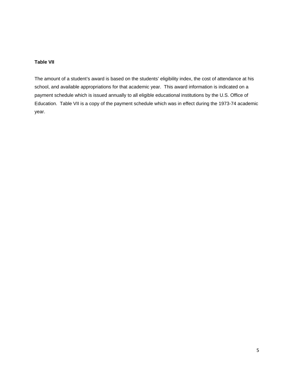## **Table VII**

The amount of a student's award is based on the students' eligibility index, the cost of attendance at his school, and available appropriations for that academic year. This award information is indicated on a payment schedule which is issued annually to all eligible educational institutions by the U.S. Office of Education. Table VII is a copy of the payment schedule which was in effect during the 1973-74 academic year.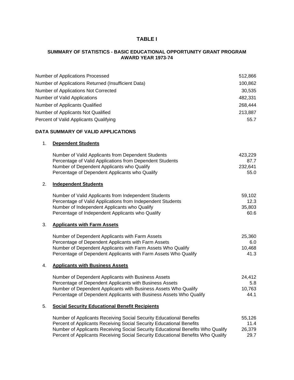## **TABLE I**

## **SUMMARY OF STATISTICS - BASIC EDUCATIONAL OPPORTUNITY GRANT PROGRAM AWARD YEAR 1973-74**

|    | <b>Number of Applications Processed</b>                                          | 512,866 |
|----|----------------------------------------------------------------------------------|---------|
|    | Number of Applications Returned (Insufficient Data)                              | 100,862 |
|    | Number of Applications Not Corrected                                             | 30,535  |
|    | Number of Valid Applications                                                     | 482,331 |
|    | Number of Applicants Qualified                                                   | 268,444 |
|    | Number of Applicants Not Qualified                                               | 213,887 |
|    | Percent of Valid Applicants Qualifying                                           | 55.7    |
|    |                                                                                  |         |
|    | DATA SUMMARY OF VALID APPLICATIONS                                               |         |
| 1. | <b>Dependent Students</b>                                                        |         |
|    | Number of Valid Applicants from Dependent Students                               | 423,229 |
|    | Percentage of Valid Applications from Dependent Students                         | 87.7    |
|    | Number of Dependent Applicants who Qualify                                       | 232,641 |
|    | Percentage of Dependent Applicants who Qualify                                   | 55.0    |
| 2. | <b>Independent Students</b>                                                      |         |
|    | Number of Valid Applicants from Independent Students                             | 59,102  |
|    | Percentage of Valid Applications from Independent Students                       | 12.3    |
|    | Number of Independent Applicants who Qualify                                     | 35,803  |
|    | Percentage of Independent Applicants who Qualify                                 | 60.6    |
| 3. | <b>Applicants with Farm Assets</b>                                               |         |
|    | Number of Dependent Applicants with Farm Assets                                  | 25,360  |
|    | Percentage of Dependent Applicants with Farm Assets                              | 6.0     |
|    | Number of Dependent Applicants with Farm Assets Who Qualify                      | 10,468  |
|    | Percentage of Dependent Applicants with Farm Assets Who Qualify                  | 41.3    |
| 4. | <b>Applicants with Business Assets</b>                                           |         |
|    | Number of Dependent Applicants with Business Assets                              | 24,412  |
|    | Percentage of Dependent Applicants with Business Assets                          | 5.8     |
|    | Number of Dependent Applicants with Business Assets Who Qualify                  | 10,763  |
|    | Percentage of Dependent Applicants with Business Assets Who Qualify              | 44.1    |
| 5. | <b>Social Security Educational Benefit Recipients</b>                            |         |
|    | Number of Applicants Receiving Social Security Educational Benefits              | 55,126  |
|    | Percent of Applicants Receiving Social Security Educational Benefits             | 11.4    |
|    | Number of Applicants Receiving Social Security Educational Benefits Who Qualify  | 26,379  |
|    | Percent of Applicants Receiving Social Security Educational Benefits Who Qualify | 29.7    |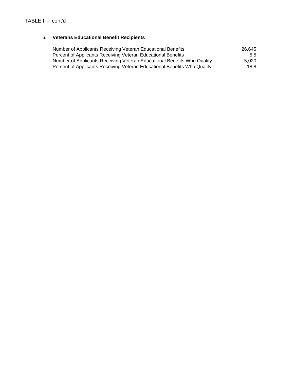# 6. **Veterans Educational Benefit Recipients**

| Number of Applicants Receiving Veteran Educational Benefits              | 26.645 |
|--------------------------------------------------------------------------|--------|
| Percent of Applicants Receiving Veteran Educational Benefits             | 5.5    |
| Number of Applicants Receiving Veteran Educational Benefits Who Qualify  | 5.020  |
| Percent of Applicants Receiving Veteran Educational Benefits Who Qualify | 18.8   |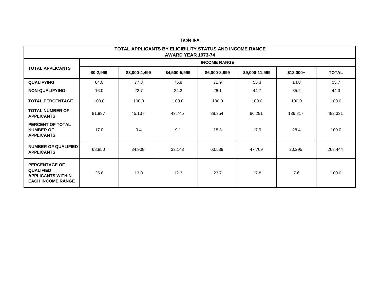|                                                                                                  | TOTAL APPLICANTS BY ELIGIBILITY STATUS AND INCOME RANGE<br><b>AWARD YEAR 1973-74</b> |               |               |                     |                |            |              |  |  |
|--------------------------------------------------------------------------------------------------|--------------------------------------------------------------------------------------|---------------|---------------|---------------------|----------------|------------|--------------|--|--|
|                                                                                                  |                                                                                      |               |               | <b>INCOME RANGE</b> |                |            |              |  |  |
| <b>TOTAL APPLICANTS</b>                                                                          | $$0-2,999$                                                                           | \$3,000-4,499 | \$4,500-5,999 | \$6,000-8,999       | \$9,000-11,999 | $$12,000+$ | <b>TOTAL</b> |  |  |
| <b>QUALIFYING</b>                                                                                | 84.0                                                                                 | 77.3          | 75.8          | 71.9                | 55.3           | 14.8       | 55.7         |  |  |
| <b>NON-QUALIFYING</b>                                                                            | 16.0                                                                                 | 22.7          | 24.2          | 28.1                | 44.7           | 85.2       | 44.3         |  |  |
| <b>TOTAL PERCENTAGE</b>                                                                          | 100.0                                                                                | 100.0         | 100.0         | 100.0               | 100.0          | 100.0      | 100.0        |  |  |
| <b>TOTAL NUMBER OF</b><br><b>APPLICANTS</b>                                                      | 81,987                                                                               | 45,137        | 43,745        | 88,354              | 86,291         | 136,817    | 482,331      |  |  |
| PERCENT OF TOTAL<br><b>NUMBER OF</b><br><b>APPLICANTS</b>                                        | 17.0                                                                                 | 9.4           | 9.1           | 18.3                | 17.9           | 28.4       | 100.0        |  |  |
| <b>NUMBER OF QUALIFIED</b><br><b>APPLICANTS</b>                                                  | 68,850                                                                               | 34,908        | 33,143        | 63,539              | 47,709         | 20,295     | 268,444      |  |  |
| <b>PERCENTAGE OF</b><br><b>QUALIFIED</b><br><b>APPLICANTS WITHIN</b><br><b>EACH INCOME RANGE</b> | 25.6                                                                                 | 13.0          | 12.3          | 23.7                | 17.8           | 7.6        | 100.0        |  |  |

**Table II-A**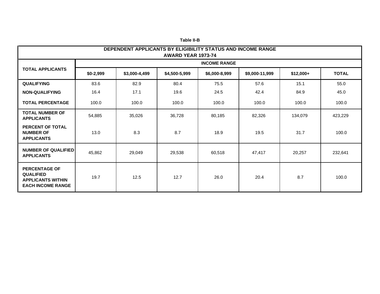|                                                                                                  | DEPENDENT APPLICANTS BY ELIGIBILITY STATUS AND INCOME RANGE<br>AWARD YEAR 1973-74 |               |               |                     |                |            |              |  |  |
|--------------------------------------------------------------------------------------------------|-----------------------------------------------------------------------------------|---------------|---------------|---------------------|----------------|------------|--------------|--|--|
|                                                                                                  |                                                                                   |               |               | <b>INCOME RANGE</b> |                |            |              |  |  |
| <b>TOTAL APPLICANTS</b>                                                                          | $$0-2,999$                                                                        | \$3,000-4,499 | \$4,500-5,999 | \$6,000-8,999       | \$9,000-11,999 | $$12,000+$ | <b>TOTAL</b> |  |  |
| <b>QUALIFYING</b>                                                                                | 83.6                                                                              | 82.9          | 80.4          | 75.5                | 57.6           | 15.1       | 55.0         |  |  |
| <b>NON-QUALIFYING</b>                                                                            | 16.4                                                                              | 17.1          | 19.6          | 24.5                | 42.4           | 84.9       | 45.0         |  |  |
| <b>TOTAL PERCENTAGE</b>                                                                          | 100.0                                                                             | 100.0         | 100.0         | 100.0               | 100.0          | 100.0      | 100.0        |  |  |
| <b>TOTAL NUMBER OF</b><br><b>APPLICANTS</b>                                                      | 54,885                                                                            | 35,026        | 36,728        | 80,185              | 82,326         | 134,079    | 423,229      |  |  |
| <b>PERCENT OF TOTAL</b><br><b>NUMBER OF</b><br><b>APPLICANTS</b>                                 | 13.0                                                                              | 8.3           | 8.7           | 18.9                | 19.5           | 31.7       | 100.0        |  |  |
| <b>NUMBER OF QUALIFIED</b><br><b>APPLICANTS</b>                                                  | 45,862                                                                            | 29,049        | 29,538        | 60,518              | 47,417         | 20,257     | 232,641      |  |  |
| <b>PERCENTAGE OF</b><br><b>QUALIFIED</b><br><b>APPLICANTS WITHIN</b><br><b>EACH INCOME RANGE</b> | 19.7                                                                              | 12.5          | 12.7          | 26.0                | 20.4           | 8.7        | 100.0        |  |  |

**Table II-B**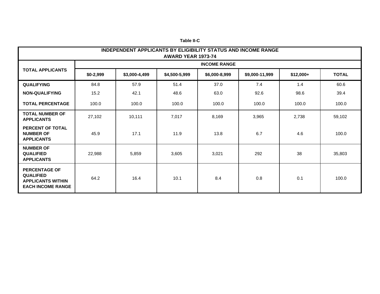|                                                                                                  | <b>INDEPENDENT APPLICANTS BY ELIGIBILITY STATUS AND INCOME RANGE</b><br>AWARD YEAR 1973-74 |               |               |                     |                |            |              |  |  |
|--------------------------------------------------------------------------------------------------|--------------------------------------------------------------------------------------------|---------------|---------------|---------------------|----------------|------------|--------------|--|--|
|                                                                                                  |                                                                                            |               |               | <b>INCOME RANGE</b> |                |            |              |  |  |
| <b>TOTAL APPLICANTS</b>                                                                          | $$0-2,999$                                                                                 | \$3,000-4,499 | \$4,500-5,999 | \$6,000-8,999       | \$9,000-11,999 | $$12,000+$ | <b>TOTAL</b> |  |  |
| <b>QUALIFYING</b>                                                                                | 84.8                                                                                       | 57.9          | 51.4          | 37.0                | 7.4            | 1.4        | 60.6         |  |  |
| <b>NON-QUALIFYING</b>                                                                            | 15.2                                                                                       | 42.1          | 48.6          | 63.0                | 92.6           | 98.6       | 39.4         |  |  |
| <b>TOTAL PERCENTAGE</b>                                                                          | 100.0                                                                                      | 100.0         | 100.0         | 100.0               | 100.0          | 100.0      | 100.0        |  |  |
| <b>TOTAL NUMBER OF</b><br><b>APPLICANTS</b>                                                      | 27,102                                                                                     | 10,111        | 7,017         | 8,169               | 3,965          | 2,738      | 59,102       |  |  |
| <b>PERCENT OF TOTAL</b><br><b>NUMBER OF</b><br><b>APPLICANTS</b>                                 | 45.9                                                                                       | 17.1          | 11.9          | 13.8                | 6.7            | 4.6        | 100.0        |  |  |
| <b>NUMBER OF</b><br><b>QUALIFIED</b><br><b>APPLICANTS</b>                                        | 22,988                                                                                     | 5,859         | 3,605         | 3,021               | 292            | 38         | 35,803       |  |  |
| <b>PERCENTAGE OF</b><br><b>QUALIFIED</b><br><b>APPLICANTS WITHIN</b><br><b>EACH INCOME RANGE</b> | 64.2                                                                                       | 16.4          | 10.1          | 8.4                 | 0.8            | 0.1        | 100.0        |  |  |

**Table II-C**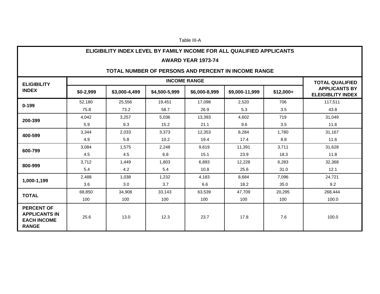#### Table III-A

### **ELIGIBILITY INDEX LEVEL BY FAMILY INCOME FOR ALL QUALIFIED APPLICANTS**

#### **AWARD YEAR 1973-74**

# **TOTAL NUMBER OF PERSONS AND PERCENT IN INCOME RANGE**

| <b>ELIGIBILITY</b>                                                              |            |               |               | <b>INCOME RANGE</b> |                |            | <b>TOTAL QUALIFIED</b>                           |
|---------------------------------------------------------------------------------|------------|---------------|---------------|---------------------|----------------|------------|--------------------------------------------------|
| <b>INDEX</b>                                                                    | $$0-2,999$ | \$3,000-4,499 | \$4,500-5,999 | \$6,000-8,999       | \$9,000-11,999 | $$12,000+$ | <b>APPLICANTS BY</b><br><b>ELEIGIBLITY INDEX</b> |
| $0 - 199$                                                                       | 52,180     | 25,556        | 19,451        | 17,098              | 2,520          | 706        | 117,511                                          |
|                                                                                 | 75.8       | 73.2          | 58.7          | 26.9                | 5.3            | 3.5        | 43.8                                             |
| 200-399                                                                         | 4,042      | 3,257         | 5,036         | 13,393              | 4,602          | 719        | 31,049                                           |
|                                                                                 | 5.9        | 9.3           | 15.2          | 21.1                | 9.6            | 3.5        | 11.6                                             |
| 400-599                                                                         | 3,344      | 2,033         | 3,373         | 12,353              | 8,284          | 1,780      | 31,167                                           |
|                                                                                 | 4.9        | 5.8           | 10.2          | 19.4                | 17.4           | 8.8        | 11.6                                             |
| 600-799                                                                         | 3,084      | 1,575         | 2,248         | 9,619               | 11,391         | 3,711      | 31,628                                           |
|                                                                                 | 4.5        | 4.5           | 6.8           | 15.1                | 23.9           | 18.3       | 11.8                                             |
| 800-999                                                                         | 3,712      | 1,449         | 1,803         | 6,893               | 12,228         | 6,283      | 32,368                                           |
|                                                                                 | 5.4        | 4.2           | 5.4           | 10.8                | 25.6           | 31.0       | 12.1                                             |
| 1,000-1,199                                                                     | 2,488      | 1,038         | 1,232         | 4,183               | 8,684          | 7,096      | 24,721                                           |
|                                                                                 | 3.6        | 3.0           | 3.7           | 6.6                 | 18.2           | 35.0       | 9.2                                              |
| <b>TOTAL</b>                                                                    | 68,850     | 34,908        | 33,143        | 63,539              | 47,709         | 20,295     | 268,444                                          |
|                                                                                 | 100        | 100           | 100           | 100                 | 100            | 100        | 100.0                                            |
| <b>PERCENT OF</b><br><b>APPLICANTS IN</b><br><b>EACH INCOME</b><br><b>RANGE</b> | 25.6       | 13.0          | 12.3          | 23.7                | 17.8           | 7.6        | 100.0                                            |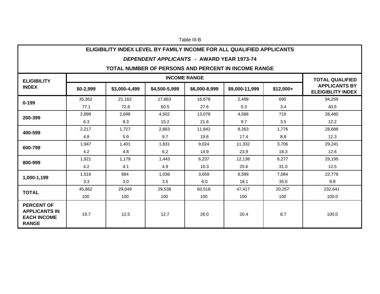#### Table III-B

### **ELIGIBILITY INDEX LEVEL BY FAMILY INCOME FOR ALL QUALIFIED APPLICANTS**

#### *DEPENDENT APPLICANTS* **- AWARD YEAR 1973-74**

# **TOTAL NUMBER OF PERSONS AND PERCENT IN INCOME RANGE**

| <b>ELIGIBILITY</b>                                                              |            |               |               | <b>INCOME RANGE</b> |                |            | <b>TOTAL QUALIFIED</b>                           |
|---------------------------------------------------------------------------------|------------|---------------|---------------|---------------------|----------------|------------|--------------------------------------------------|
| <b>INDEX</b>                                                                    | $$0-2,999$ | \$3,000-4,499 | \$4,500-5,999 | \$6,000-8,999       | \$9,000-11,999 | $$12,000+$ | <b>APPLICANTS BY</b><br><b>ELEIGIBLITY INDEX</b> |
| $0 - 199$                                                                       | 35,362     | 21,162        | 17.863        | 16.678              | 2,499          | 695        | 94,259                                           |
|                                                                                 | 77.1       | 72.8          | 60.5          | 27.6                | 5.3            | 3.4        | 40.5                                             |
| 200-399                                                                         | 2,899      | 2,696         | 4,502         | 13,078              | 4,586          | 719        | 28,480                                           |
|                                                                                 | 6.3        | 9.3           | 15.2          | 21.6                | 9.7            | 3.5        | 12.2                                             |
|                                                                                 | 2,217      | 1,727         | 2,863         | 11,842              | 8,263          | 1,776      | 28,688                                           |
| 400-599                                                                         | 4.8        | 5.9           | 9.7           | 19.6                | 17.4           | 8.8        | 12.3                                             |
| 600-799                                                                         | 1,947      | 1,401         | 1,831         | 9,024               | 11,332         | 3,706      | 29,241                                           |
|                                                                                 | 4.2        | 4.8           | 6.2           | 14.9                | 23.9           | 18.3       | 12.6                                             |
| 800-999                                                                         | 1,921      | 1,179         | 1,443         | 6,237               | 12,138         | 6,277      | 29,195                                           |
|                                                                                 | 4.2        | 4.1           | 4.9           | 10.3                | 25.6           | 31.0       | 12.5                                             |
| 1,000-1,199                                                                     | 1,516      | 884           | 1,036         | 3,659               | 8,599          | 7,084      | 22,778                                           |
|                                                                                 | 3.3        | 3.0           | 3.5           | 6.0                 | 18.1           | 35.0       | 9.8                                              |
| <b>TOTAL</b>                                                                    | 45,862     | 29,049        | 29,538        | 60,518              | 47,417         | 20,257     | 232,641                                          |
|                                                                                 | 100        | 100           | 100           | 100                 | 100            | 100        | 100.0                                            |
| <b>PERCENT OF</b><br><b>APPLICANTS IN</b><br><b>EACH INCOME</b><br><b>RANGE</b> | 19.7       | 12.5          | 12.7          | 26.0                | 20.4           | 8.7        | 100.0                                            |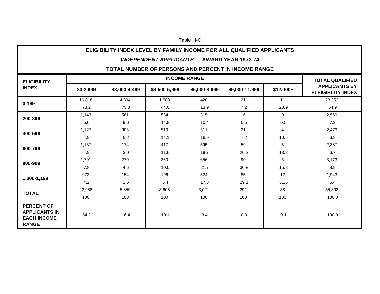#### Table III-C

# **ELIGIBILITY INDEX LEVEL BY FAMILY INCOME FOR ALL QUALIFIED APPLICANTS**

#### *INDEPENDENT APPLICANTS* **- AWARD YEAR 1973-74**

## **TOTAL NUMBER OF PERSONS AND PERCENT IN INCOME RANGE**

| <b>ELIGIBILITY</b>                                                              |            |               |               | <b>INCOME RANGE</b> |                |                | <b>TOTAL QUALIFIED</b>                           |
|---------------------------------------------------------------------------------|------------|---------------|---------------|---------------------|----------------|----------------|--------------------------------------------------|
| <b>INDEX</b>                                                                    | $$0-2,999$ | \$3,000-4,499 | \$4,500-5,999 | \$6,000-8,999       | \$9,000-11,999 | $$12,000+$     | <b>APPLICANTS BY</b><br><b>ELEIGIBLITY INDEX</b> |
| $0 - 199$                                                                       | 16,818     | 4,394         | 1,588         | 420                 | 21             | 11             | 23,252                                           |
|                                                                                 | 73.2       | 75.0          | 44.0          | 13.9                | 7.2            | 28.9           | 64.9                                             |
|                                                                                 | 1,143      | 561           | 534           | 315                 | 16             | $\mathbf 0$    | 2,569                                            |
| 200-399                                                                         | 5.0        | 9.6           | 14.8          | 10.4                | 5.5            | 0.0            | 7.2                                              |
| 400-599                                                                         | 1,127      | 306           | 510           | 511                 | 21             | $\overline{4}$ | 2,479                                            |
|                                                                                 | 4.9        | 5.2           | 14.1          | 16.9                | 7.2            | 10.5           | 6.9                                              |
| 600-799                                                                         | 1,137      | 174           | 417           | 595                 | 59             | 5              | 2,387                                            |
|                                                                                 | 4.9        | 3.0           | 11.6          | 19.7                | 20.2           | 13.2           | 6.7                                              |
| 800-999                                                                         | 1,791      | 270           | 360           | 656                 | 90             | 6              | 3,173                                            |
|                                                                                 | 7.8        | 4.6           | 10.0          | 21.7                | 30.8           | 15.8           | 8.9                                              |
| 1,000-1,199                                                                     | 972        | 154           | 196           | 524                 | 85             | 12             | 1,943                                            |
|                                                                                 | 4.2        | 2.6           | 5.4           | 17.3                | 29.1           | 31.6           | 5.4                                              |
| <b>TOTAL</b>                                                                    | 22,988     | 5,859         | 3,605         | 3,021               | 292            | 38             | 35,803                                           |
|                                                                                 | 100        | 100           | 100           | 100                 | 100            | 100            | 100.0                                            |
| <b>PERCENT OF</b><br><b>APPLICANTS IN</b><br><b>EACH INCOME</b><br><b>RANGE</b> | 64.2       | 16.4          | 10.1          | 8.4                 | 0.8            | 0.1            | 100.0                                            |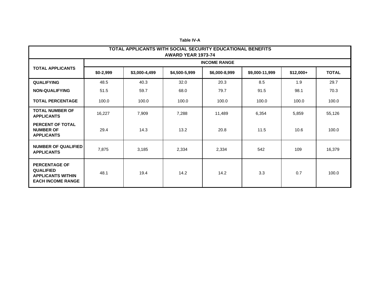|                                                                                                  | TOTAL APPLICANTS WITH SOCIAL SECURITY EDUCATIONAL BENEFITS<br>AWARD YEAR 1973-74 |               |               |                     |                |            |              |  |  |
|--------------------------------------------------------------------------------------------------|----------------------------------------------------------------------------------|---------------|---------------|---------------------|----------------|------------|--------------|--|--|
|                                                                                                  |                                                                                  |               |               | <b>INCOME RANGE</b> |                |            |              |  |  |
| <b>TOTAL APPLICANTS</b>                                                                          | \$0-2,999                                                                        | \$3,000-4,499 | \$4,500-5,999 | \$6,000-8,999       | \$9,000-11,999 | $$12,000+$ | <b>TOTAL</b> |  |  |
| <b>QUALIFYING</b>                                                                                | 48.5                                                                             | 40.3          | 32.0          | 20.3                | 8.5            | 1.9        | 29.7         |  |  |
| <b>NON-QUALIFYING</b>                                                                            | 51.5                                                                             | 59.7          | 68.0          | 79.7                | 91.5           | 98.1       | 70.3         |  |  |
| <b>TOTAL PERCENTAGE</b>                                                                          | 100.0                                                                            | 100.0         | 100.0         | 100.0               | 100.0          | 100.0      | 100.0        |  |  |
| <b>TOTAL NUMBER OF</b><br><b>APPLICANTS</b>                                                      | 16,227                                                                           | 7,909         | 7,288         | 11,489              | 6,354          | 5,859      | 55,126       |  |  |
| PERCENT OF TOTAL<br><b>NUMBER OF</b><br><b>APPLICANTS</b>                                        | 29.4                                                                             | 14.3          | 13.2          | 20.8                | 11.5           | 10.6       | 100.0        |  |  |
| <b>NUMBER OF QUALIFIED</b><br><b>APPLICANTS</b>                                                  | 7,875                                                                            | 3,185         | 2,334         | 2,334               | 542            | 109        | 16,379       |  |  |
| <b>PERCENTAGE OF</b><br><b>QUALIFIED</b><br><b>APPLICANTS WITHIN</b><br><b>EACH INCOME RANGE</b> | 48.1                                                                             | 19.4          | 14.2          | 14.2                | 3.3            | 0.7        | 100.0        |  |  |

**Table IV-A**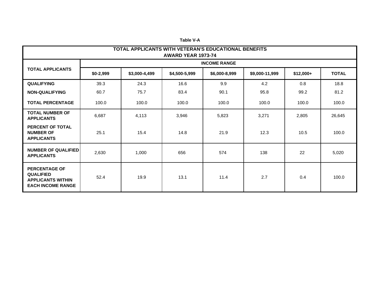|                                                                                                  | TOTAL APPLICANTS WITH VETERAN'S EDUCATIONAL BENEFITS<br>AWARD YEAR 1973-74 |               |               |                     |                |            |              |  |  |
|--------------------------------------------------------------------------------------------------|----------------------------------------------------------------------------|---------------|---------------|---------------------|----------------|------------|--------------|--|--|
|                                                                                                  |                                                                            |               |               | <b>INCOME RANGE</b> |                |            |              |  |  |
| <b>TOTAL APPLICANTS</b>                                                                          | $$0-2,999$                                                                 | \$3,000-4,499 | \$4,500-5,999 | \$6,000-8,999       | \$9,000-11,999 | $$12,000+$ | <b>TOTAL</b> |  |  |
| <b>QUALIFYING</b>                                                                                | 39.3                                                                       | 24.3          | 16.6          | 9.9                 | 4.2            | 0.8        | 18.8         |  |  |
| <b>NON-QUALIFYING</b>                                                                            | 60.7                                                                       | 75.7          | 83.4          | 90.1                | 95.8           | 99.2       | 81.2         |  |  |
| <b>TOTAL PERCENTAGE</b>                                                                          | 100.0                                                                      | 100.0         | 100.0         | 100.0               | 100.0          | 100.0      | 100.0        |  |  |
| <b>TOTAL NUMBER OF</b><br><b>APPLICANTS</b>                                                      | 6,687                                                                      | 4,113         | 3,946         | 5,823               | 3,271          | 2,805      | 26,645       |  |  |
| PERCENT OF TOTAL<br><b>NUMBER OF</b><br><b>APPLICANTS</b>                                        | 25.1                                                                       | 15.4          | 14.8          | 21.9                | 12.3           | 10.5       | 100.0        |  |  |
| <b>NUMBER OF QUALIFIED</b><br><b>APPLICANTS</b>                                                  | 2,630                                                                      | 1,000         | 656           | 574                 | 138            | 22         | 5,020        |  |  |
| <b>PERCENTAGE OF</b><br><b>QUALIFIED</b><br><b>APPLICANTS WITHIN</b><br><b>EACH INCOME RANGE</b> | 52.4                                                                       | 19.9          | 13.1          | 11.4                | 2.7            | 0.4        | 100.0        |  |  |

**Table V-A**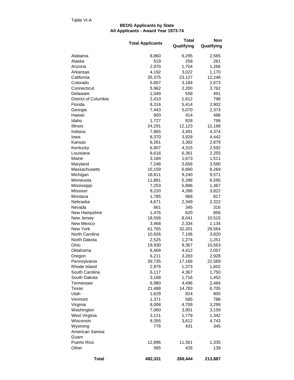#### **All Applicants - Award Year 1973-74 BEOG Applicants by State**

|                                 | <b>Total Applicants</b> | <b>Total</b><br>Qualifying | <b>Non</b><br>Qualifying |
|---------------------------------|-------------------------|----------------------------|--------------------------|
| Alabama                         | 8,860                   | 6,295                      | 2,565                    |
| Alaska                          | 519                     | 258                        | 261                      |
| Arizona                         | 2,970                   | 1,704                      | 1,266                    |
| Arkansas                        | 4,192                   | 3,022                      | 1,170                    |
| California                      | 35,375                  | 23,127                     | 12,248                   |
| Colorado                        | 5,857                   | 3,184                      | 2,673                    |
| Connecticut                     | 5,962                   | 2,200                      | 3,762                    |
| Delaware                        | 1,049                   | 558                        | 491                      |
| District of Columbia            | 2,410                   | 1,612                      | 798                      |
| Florida                         | 8,316                   | 5,414                      | 2,902                    |
| Georgia<br>Hawaii               | 7,443<br>900            | 5,070<br>414               | 2,373<br>486             |
| Idaho                           | 1,727                   | 928                        | 799                      |
| Illinois                        | 24,291                  | 12,123                     | 12,168                   |
| Indiana                         | 7,865                   | 3,491                      | 4,374                    |
| Iowa                            | 8,370                   | 3,928                      | 4,442                    |
| Kansas                          | 6,261                   | 3,382                      | 2,879                    |
| Kentucky                        | 6,907                   | 4,315                      | 2,592                    |
| Louisiana                       | 8,616                   | 6,361                      | 2,255                    |
| Maine                           | 3,184                   | 1,673                      | 1,511                    |
| Maryland                        | 7,246                   | 3,656                      | 3,590                    |
| Massachusetts                   | 15,159                  | 6,890                      | 8,269                    |
| Michigan                        | 18,811                  | 9,240                      | 9,571                    |
| Minnesota                       | 11,881                  | 5,286                      | 6,595                    |
| Mississippi                     | 7,253                   | 5,886                      | 1,367                    |
| Missouri                        | 8,220                   | 4,398                      | 3,822                    |
| Montana                         | 1,785                   | 968                        | 817                      |
| Nebraska                        | 4,671                   | 2,349                      | 2,322                    |
| Nevada                          | 661                     | 345                        | 316                      |
| New Hampshire                   | 1,476<br>18,556         | 620<br>8,041               | 856<br>10,515            |
| New Jersey<br><b>New Mexico</b> | 3,468                   | 2,334                      | 1,134                    |
| New York                        | 61,765                  | 32,201                     | 29,564                   |
| North Carolina                  | 10,926                  | 7,106                      | 3,820                    |
| North Dakota                    | 2,525                   | 1,274                      | 1,251                    |
| Ohio                            | 19,930                  | 9,367                      | 10,563                   |
| Oklahoma                        | 6,469                   | 4,412                      | 2,057                    |
| Oregon                          | 6,211                   | 3,283                      | 2,928                    |
| Pennsylvania                    | 39,735                  | 17,166                     | 22,569                   |
| Rhode Island                    | 2,975                   | 1,373                      | 1,602                    |
| South Carolina                  | 6,117                   | 4,367                      | 1,750                    |
| South Dakota                    | 3,168                   | 1,716                      | 1,452                    |
| Tennessee                       | 6,980                   | 4,496                      | 2,484                    |
| Texas                           | 21,488                  | 14,783                     | 6,705                    |
| Utah                            | 1,629                   | 824                        | 805                      |
| Vermont                         | 1,371                   | 585                        | 786                      |
| Virginia                        | 8,008                   | 4,709                      | 3,299                    |
| Washington                      | 7,060                   | 3,901                      | 3,159                    |
| West Virginia<br>Wisconsin      | 3,121<br>8,355          | 1,779<br>3,612             | 1,342<br>4,743           |
| Wyoming                         | 776                     | 431                        | 345                      |
| American Samoa                  |                         |                            |                          |
| Guam                            |                         |                            |                          |
| Puerto Rico                     | 12,896                  | 11,561                     | 1,335                    |
| Other                           | 565                     | 426                        | 139                      |
| Total                           | 482,331                 | 268,444                    | 213,887                  |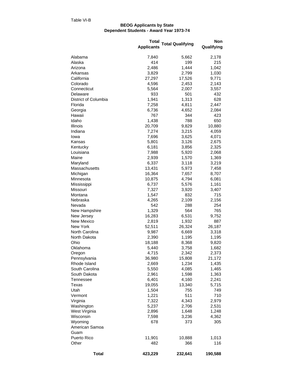#### **Dependent Students - Award Year 1973-74 BEOG Applicants by State**

|                         | Total<br><b>Applicants</b> | <b>Total Qualifying</b> | Non<br>Qualifying |
|-------------------------|----------------------------|-------------------------|-------------------|
| Alabama                 | 7,840                      | 5,662                   | 2,178             |
| Alaska                  | 414                        | 199                     | 215               |
| Arizona                 | 2,486                      | 1,444                   | 1,042             |
| Arkansas                | 3,829                      | 2,799                   | 1,030             |
| California              | 27,297                     | 17,526                  | 9,771             |
| Colorado                | 4,596                      | 2,453                   | 2,143             |
| Connecticut             | 5,564                      | 2,007                   | 3,557             |
| Delaware                | 933                        | 501                     | 432               |
| District of Columbia    | 1,941                      | 1,313                   | 628               |
| Florida                 | 7,258                      | 4,811                   | 2,447             |
| Georgia                 | 6,736                      | 4,652                   | 2,084             |
| Hawaii                  | 767                        | 344                     | 423               |
| Idaho                   | 1,438                      | 788                     | 650               |
| Illinois                | 20,709                     | 9,829                   | 10,880            |
| Indiana                 | 7,274                      | 3,215                   | 4,059             |
| Iowa                    | 7,696                      | 3,625                   | 4,071             |
| Kansas                  | 5,801                      | 3,126                   | 2,675             |
| Kentucky                | 6,181                      | 3,856                   | 2,325             |
| Louisiana               | 7,988                      | 5,920                   | 2,068             |
| Maine                   | 2,939                      | 1,570                   | 1,369             |
| Maryland                | 6,337                      | 3,118                   | 3,219             |
| Massachusetts           | 13,431                     | 5,973                   | 7,458             |
| Michigan                | 16,364                     | 7,657                   | 8,707             |
| Minnesota               | 10,875                     | 4,794                   | 6,081             |
| Mississippi<br>Missouri | 6,737<br>7,327             | 5,576<br>3,920          | 1,161<br>3,407    |
| Montana                 | 1,547                      | 832                     | 715               |
| Nebraska                | 4,265                      | 2,109                   | 2,156             |
| Nevada                  | 542                        | 288                     | 254               |
| New Hampshire           | 1,329                      | 564                     | 765               |
| New Jersey              | 16,283                     | 6,531                   | 9,752             |
| New Mexico              | 2,819                      | 1,932                   | 887               |
| New York                | 52,511                     | 26,324                  | 26,187            |
| North Carolina          | 9,987                      | 6,669                   | 3,318             |
| North Dakota            | 2,390                      | 1,195                   | 1,195             |
| Ohio                    | 18,188                     | 8,368                   | 9,820             |
| Oklahoma                | 5,440                      | 3,758                   | 1,682             |
| Oregon                  | 4,715                      | 2,342                   | 2,373             |
| Pennsylvania            | 36,980                     | 15,808                  | 21,172            |
| Rhode Island            | 2,669                      | 1,234                   | 1,435             |
| South Carolina          | 5,550                      | 4,085                   | 1,465             |
| South Dakota            | 2,961                      | 1,598                   | 1,363             |
| Tennessee               | 6,401                      | 4,160                   | 2,241             |
| Texas                   | 19,055                     | 13,340                  | 5,715             |
| Utah                    | 1,504                      | 755                     | 749               |
| Vermont                 | 1,221                      | 511                     | 710               |
| Virginia                | 7,322                      | 4,343                   | 2,979             |
| Washington              | 5,237                      | 2,706                   | 2,531             |
| West Virginia           | 2,896                      | 1,648                   | 1,248             |
| Wisconsin               | 7,598                      | 3,236                   | 4,362             |
| Wyoming                 | 678                        | 373                     | 305               |
| American Samoa          |                            |                         |                   |
| Guam                    |                            |                         |                   |
| Puerto Rico             | 11,901                     | 10,888                  | 1,013             |
| Other                   | 482                        | 366                     | 116               |
| <b>Total</b>            | 423,229                    | 232,641                 | 190,588           |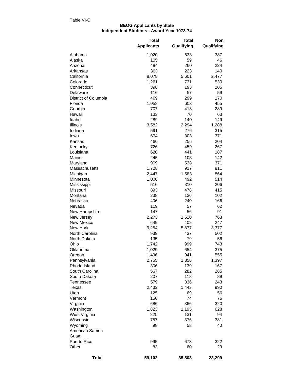#### **BEOG Applicants by State Independent Students - Award Year 1973-74**

|                      | <b>Total</b>      | <b>Total</b> | <b>Non</b> |
|----------------------|-------------------|--------------|------------|
|                      | <b>Applicants</b> | Qualifying   | Qualifying |
| Alabama              | 1,020             | 633          | 387        |
| Alaska               | 105               | 59           | 46         |
| Arizona              | 484               | 260          | 224        |
| Arkansas             | 363               | 223          | 140        |
| California           | 8,078             | 5,601        | 2,477      |
| Colorado             | 1,261             | 731          | 530        |
| Connecticut          | 398               | 193          | 205        |
| Delaware             | 116               | 57           | 59         |
| District of Columbia | 469               | 299          | 170        |
| Florida              | 1,058             | 603          | 455        |
| Georgia              | 707               | 418          | 289        |
| Hawaii               | 133               | 70           | 63         |
| Idaho                | 289               | 140          | 149        |
| Illinois             | 3,582             | 2,294        | 1,288      |
| Indiana              | 591               | 276          | 315        |
| lowa                 | 674               | 303          | 371        |
| Kansas               | 460               | 256          | 204        |
| Kentucky             | 726               | 459          | 267        |
| Louisiana            | 628               | 441          | 187        |
| Maine                | 245               | 103          | 142        |
| Maryland             | 909               | 538          | 371        |
| Massachusetts        | 1,728             | 917          | 811        |
| Michigan             | 2,447             | 1,583        | 864        |
| Minnesota            | 1,006             | 492          | 514        |
| Mississippi          | 516               | 310          | 206        |
| Missouri             | 893               | 478          | 415        |
| Montana              | 238               | 136          | 102        |
| Nebraska             | 406               | 240          | 166        |
| Nevada               | 119               | 57           | 62         |
| New Hampshire        | 147               | 56           | 91         |
| New Jersey           | 2,273             | 1,510        | 763        |
| <b>New Mexico</b>    | 649               | 402          | 247        |
| New York             | 9,254             | 5,877        | 3,377      |
| North Carolina       | 939               | 437          | 502        |
| North Dakota         | 135               | 79           | 56         |
| Ohio                 | 1,742             | 999          | 743        |
| Oklahoma             | 1,029             | 654          | 375        |
| Oregon               | 1,496             | 941          | 555        |
| Pennsylvania         | 2,755             | 1,358        | 1,397      |
| Rhode Island         | 306               | 139          | 167        |
| South Carolina       | 567               | 282          | 285        |
| South Dakota         | 207               | 118          | 89         |
| Tennessee            | 579               | 336          | 243        |
| Texas                | 2,433             | 1,443        | 990        |
| Utah                 | 125               | 69           | 56         |
| Vermont              | 150               | 74           | 76         |
| Virginia             | 686               | 366          | 320        |
| Washington           | 1,823             | 1,195        | 628        |
| West Virginia        | 225               | 131          | 94         |
| Wisconsin            | 757               | 376          | 381        |
| Wyoming              | 98                | 58           | 40         |
| American Samoa       |                   |              |            |
| Guam                 |                   |              |            |
| Puerto Rico          | 995               | 673          | 322        |
| Other                | 83                | 60           | 23         |
| <b>Total</b>         | 59,102            | 35,803       | 23,299     |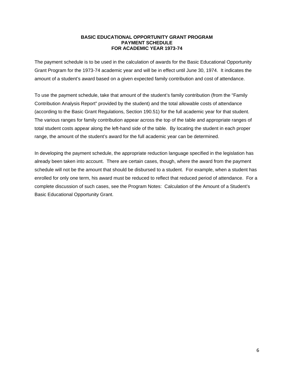## **BASIC EDUCATIONAL OPPORTUNITY GRANT PROGRAM PAYMENT SCHEDULE FOR ACADEMIC YEAR 1973-74**

The payment schedule is to be used in the calculation of awards for the Basic Educational Opportunity Grant Program for the 1973-74 academic year and will be in effect until June 30, 1974. It indicates the amount of a student's award based on a given expected family contribution and cost of attendance.

To use the payment schedule, take that amount of the student's family contribution (from the "Family Contribution Analysis Report" provided by the student) and the total allowable costs of attendance (according to the Basic Grant Regulations, Section 190.51) for the full academic year for that student. The various ranges for family contribution appear across the top of the table and appropriate ranges of total student costs appear along the left-hand side of the table. By locating the student in each proper range, the amount of the student's award for the full academic year can be determined.

In developing the payment schedule, the appropriate reduction language specified in the legislation has already been taken into account. There are certain cases, though, where the award from the payment schedule will not be the amount that should be disbursed to a student. For example, when a student has enrolled for only one term, his award must be reduced to reflect that reduced period of attendance. For a complete discussion of such cases, see the Program Notes: Calculation of the Amount of a Student's Basic Educational Opportunity Grant.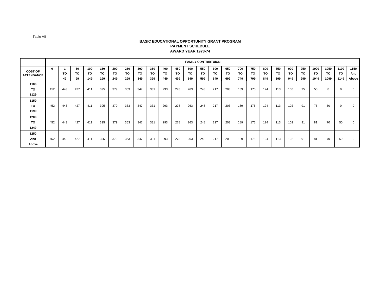#### **BASIC EDUCATIONAL OPPORTUNITY GRANT PROGRAMPAYMENT SCHEDULEAWARD YEAR 1973-74**

|                   | <b>FAMILY CONTRIBTUION</b> |     |     |     |     |     |     |     |     |     |     |     |           |     |     |     |     |     |     |     |     |      |      |      |       |
|-------------------|----------------------------|-----|-----|-----|-----|-----|-----|-----|-----|-----|-----|-----|-----------|-----|-----|-----|-----|-----|-----|-----|-----|------|------|------|-------|
| <b>COST OF</b>    | 0                          |     | 50  | 100 | 150 | 200 | 250 | 300 | 350 | 400 | 450 | 500 | 550       | 600 | 650 | 700 | 750 | 800 | 850 | 900 | 950 | 1000 | 1050 | 1100 | 1150  |
| <b>ATTENDANCE</b> |                            | ΤО  | TO  | TO  | TO  | TO  | TO  | то  | TO  | TO. | TO  | TO  | <b>TO</b> | TO  | то  | TO  | TO  | TO. | TO  | TO  | то  | TO.  | TO.  | то   | And   |
|                   |                            | 49  | 99  | 149 | 199 | 249 | 299 | 349 | 399 | 449 | 499 | 549 | 599       | 649 | 699 | 749 | 799 | 849 | 899 | 949 | 999 | 1049 | 1099 | 1149 | Above |
| 1100              |                            |     |     |     |     |     |     |     |     |     |     |     |           |     |     |     |     |     |     |     |     |      |      |      |       |
| TO.               | 452                        | 443 | 427 | 411 | 395 | 379 | 363 | 347 | 331 | 293 | 278 | 263 | 248       | 217 | 203 | 189 | 175 | 124 | 113 | 100 | 75  | 50   | 0    |      | 0     |
| 1129              |                            |     |     |     |     |     |     |     |     |     |     |     |           |     |     |     |     |     |     |     |     |      |      |      |       |
| 1150              |                            |     |     |     |     |     |     |     |     |     |     |     |           |     |     |     |     |     |     |     |     |      |      |      |       |
| то                | 452                        | 443 | 427 | 411 | 395 | 379 | 363 | 347 | 331 | 293 | 278 | 263 | 248       | 217 | 203 | 189 | 175 | 124 | 113 | 102 | 91  | 75   | 50   |      | 0     |
| 1199              |                            |     |     |     |     |     |     |     |     |     |     |     |           |     |     |     |     |     |     |     |     |      |      |      |       |
| 1200              |                            |     |     |     |     |     |     |     |     |     |     |     |           |     |     |     |     |     |     |     |     |      |      |      |       |
| TO                | 452                        | 443 | 427 | 411 | 395 | 379 | 363 | 347 | 331 | 293 | 278 | 263 | 248       | 217 | 203 | 189 | 175 | 124 | 113 | 102 | 91  | 81   | 70   | 50   | 0     |
| 1249              |                            |     |     |     |     |     |     |     |     |     |     |     |           |     |     |     |     |     |     |     |     |      |      |      |       |
| 1250              |                            |     |     |     |     |     |     |     |     |     |     |     |           |     |     |     |     |     |     |     |     |      |      |      |       |
| And               | 452                        | 443 | 427 | 411 | 395 | 379 | 363 | 347 | 331 | 293 | 278 | 263 | 248       | 217 | 203 | 189 | 175 | 124 | 113 | 102 | 91  | 81   | 70   | 59   | 0     |
| Above             |                            |     |     |     |     |     |     |     |     |     |     |     |           |     |     |     |     |     |     |     |     |      |      |      |       |

Table VII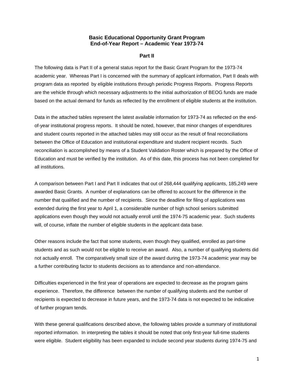## **Basic Educational Opportunity Grant Program End-of-Year Report – Academic Year 1973-74**

#### **Part II**

The following data is Part II of a general status report for the Basic Grant Program for the 1973-74 academic year. Whereas Part I is concerned with the summary of applicant information, Part II deals with program data as reported by eligible institutions through periodic Progress Reports. Progress Reports are the vehicle through which necessary adjustments to the initial authorization of BEOG funds are made based on the actual demand for funds as reflected by the enrollment of eligible students at the institution.

Data in the attached tables represent the latest available information for 1973-74 as reflected on the endof-year institutional progress reports. It should be noted, however, that minor changes of expenditures and student counts reported in the attached tables may still occur as the result of final reconciliations between the Office of Education and institutional expenditure and student recipient records. Such reconciliation is accomplished by means of a Student Validation Roster which is prepared by the Office of Education and must be verified by the institution. As of this date, this process has not been completed for all institutions.

A comparison between Part I and Part II indicates that out of 268,444 qualifying applicants, 185,249 were awarded Basic Grants. A number of explanations can be offered to account for the difference in the number that qualified and the number of recipients. Since the deadline for filing of applications was extended during the first year to April 1, a considerable number of high school seniors submitted applications even though they would not actually enroll until the 1974-75 academic year. Such students will, of course, inflate the number of eligible students in the applicant data base.

Other reasons include the fact that some students, even though they qualified, enrolled as part-time students and as such would not be eligible to receive an award. Also, a number of qualifying students did not actually enroll. The comparatively small size of the award during the 1973-74 academic year may be a further contributing factor to students decisions as to attendance and non-attendance.

Difficulties experienced in the first year of operations are expected to decrease as the program gains experience. Therefore, the difference between the number of qualifying students and the number of recipients is expected to decrease in future years, and the 1973-74 data is not expected to be indicative of further program tends.

With these general qualifications described above, the following tables provide a summary of institutional reported information. In interpreting the tables it should be noted that only first-year full-time students were eligible. Student eligibility has been expanded to include second year students during 1974-75 and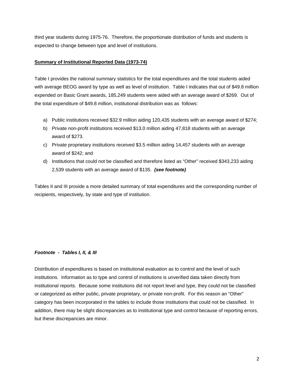third year students during 1975-76. Therefore, the proportionate distribution of funds and students is expected to change between type and level of institutions.

## **Summary of Institutional Reported Data (1973-74)**

Table I provides the national summary statistics for the total expenditures and the total students aided with average BEOG award by type as well as level of institution. Table I indicates that out of \$49.8 million expended on Basic Grant awards, 185,249 students were aided with an average award of \$269. Out of the total expenditure of \$49.8 million, institutional distribution was as follows:

- a) Public institutions received \$32.9 million aiding 120,435 students with an average award of \$274;
- b) Private non-profit institutions received \$13.0 million aiding 47,818 students with an average award of \$273.
- c) Private proprietary institutions received \$3.5 million aiding 14,457 students with an average award of \$242; and
- d) Institutions that could not be classified and therefore listed as "Other" received \$343,233 aiding 2,539 students with an average award of \$135. *(see footnote)*

Tables II and III provide a more detailed summary of total expenditures and the corresponding number of recipients, respectively, by state and type of institution.

# *Footnote - Tables I, II, & III*

Distribution of expenditures is based on institutional evaluation as to control and the level of such institutions. Information as to type and control of institutions is unverified data taken directly from institutional reports. Because some institutions did not report level and type, they could not be classified or categorized as either public, private proprietary, or private non-profit. For this reason an "Other" category has been incorporated in the tables to include those institutions that could not be classified. In addition, there may be slight discrepancies as to institutional type and control because of reporting errors, but these discrepancies are minor.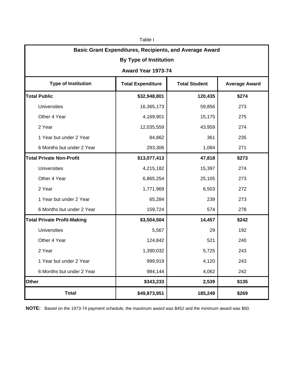| Table I                                                        |                                                                          |         |       |  |  |  |  |  |  |
|----------------------------------------------------------------|--------------------------------------------------------------------------|---------|-------|--|--|--|--|--|--|
| <b>Basic Grant Expenditures, Recipients, and Average Award</b> |                                                                          |         |       |  |  |  |  |  |  |
| <b>By Type of Institution</b>                                  |                                                                          |         |       |  |  |  |  |  |  |
| Award Year 1973-74                                             |                                                                          |         |       |  |  |  |  |  |  |
| <b>Type of Institution</b>                                     | <b>Total Expenditure</b><br><b>Total Student</b><br><b>Average Award</b> |         |       |  |  |  |  |  |  |
| <b>Total Public</b>                                            | \$32,948,801                                                             | 120,435 | \$274 |  |  |  |  |  |  |
| <b>Universities</b>                                            | 16,365,173                                                               | 59,856  | 273   |  |  |  |  |  |  |
| Other 4 Year                                                   | 4,169,901                                                                | 15,175  | 275   |  |  |  |  |  |  |
| 2 Year                                                         | 12,035,559                                                               | 43,959  | 274   |  |  |  |  |  |  |
| 1 Year but under 2 Year                                        | 84,862                                                                   | 361     | 235   |  |  |  |  |  |  |
| 6 Months but under 2 Year                                      | 293,306                                                                  | 1,084   | 271   |  |  |  |  |  |  |
| <b>Total Private Non-Profit</b>                                | \$13,077,413                                                             | 47,818  | \$273 |  |  |  |  |  |  |
| <b>Universities</b>                                            | 4,215,182                                                                | 15,397  | 274   |  |  |  |  |  |  |
| Other 4 Year                                                   | 6,865,254                                                                | 25,105  | 273   |  |  |  |  |  |  |
| 2 Year                                                         | 1,771,969                                                                | 6,503   | 272   |  |  |  |  |  |  |
| 1 Year but under 2 Year                                        | 65,284                                                                   | 239     | 273   |  |  |  |  |  |  |
| 6 Months but under 2 Year                                      | 159,724                                                                  | 574     | 278   |  |  |  |  |  |  |
| <b>Total Private Profit-Making</b>                             | \$3,504,504                                                              | 14,457  | \$242 |  |  |  |  |  |  |
| <b>Universities</b>                                            | 5,567                                                                    | 29      | 192   |  |  |  |  |  |  |
| Other 4 Year                                                   | 124,842                                                                  | 521     | 240   |  |  |  |  |  |  |
| 2 Year                                                         | 1,390,032                                                                | 5,725   | 243   |  |  |  |  |  |  |
| 1 Year but under 2 Year                                        | 999,919                                                                  | 4,120   | 243   |  |  |  |  |  |  |
| 6 Months but under 2 Year                                      | 984,144                                                                  | 4,062   | 242   |  |  |  |  |  |  |
| Other                                                          | \$343,233                                                                | 2,539   | \$135 |  |  |  |  |  |  |
| <b>Total</b>                                                   | \$49,873,951                                                             | 185,249 | \$269 |  |  |  |  |  |  |

**NOTE:** Based on the 1973-74 payment schedule, the maximum award was \$452 and the minimum award was \$50.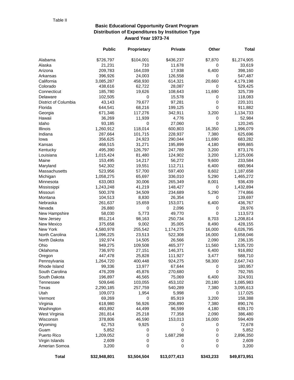# **Basic Educational Opportunity Grant Program Distribution of Expenditures by Institution Type Award Year 1973-74**

|                             | <b>Public</b>      | Proprietary      | <b>Private</b>   | Other          | <b>Total</b>       |
|-----------------------------|--------------------|------------------|------------------|----------------|--------------------|
| Alabama                     | \$726,797          | \$104,001        | \$436,237        | \$7,870        | \$1,274,905        |
| Alaska                      | 21,231             | 710              | 11,678           | 0              | 33,619             |
| Arizona                     | 209,783            | 164,039          | 17,938           | 6,400          | 398,160            |
| Arkansas                    | 396,926            | 24,003           | 126,558          | 0              | 547,487            |
| California                  | 3,085,287          | 458,930          | 614,321          | 20,660         | 4,179,198          |
| Colorado                    | 438,616            | 62,722           | 28,087           | 0              | 529,425            |
| Connecticut                 | 185,780            | 19,626           | 108,643          | 11,690         | 325,739            |
| Delaware                    | 102,505            | 0                | 15,578           | 0              | 118,083            |
| District of Columbia        | 43,143             | 79,677           | 97,281           | 0              | 220,101            |
| Florida                     | 644,541            | 68,216           | 199,125          | 0              | 911,882            |
| Georgia                     | 671,346            | 117,276          | 342,911          | 3,200          | 1,134,733          |
| Hawaii                      | 36,269             | 11,939           | 4,776            | 0              | 52,984             |
| Idaho                       | 93,185             | 0                | 27,060           | 0              | 120,245            |
| Illinois                    | 1,260,912          | 118,014          | 600,803          | 16,350         | 1,996,079          |
| Indiana                     | 287,664            | 101,715          | 228,937          | 7,380          | 625,696            |
| lowa                        | 356,625            | 24,923           | 290,044          | 11,690         | 683,282            |
| Kansas                      | 468,515            | 31,271           | 195,899          | 4,180          | 699,865            |
| Kentucky                    | 495,390            | 126,797          | 247,789          | 3,200          | 873,176            |
| Louisiana                   | 1,015,424          | 81,480           | 124,902          | 3,200          | 1,225,006          |
| Maine                       | 153,495            | 14,217           | 56,272           | 9,600          | 233,584            |
| Maryland                    | 542,302            | 19,551           | 112,711          | 6,400          | 680,964            |
| Massachusetts               | 523,956            | 57,700           | 597,400          | 8,602          | 1,187,658          |
| Michigan                    | 1,058,275          | 65,697           | 336,010          | 5,290          | 1,465,272          |
| Minnesota                   | 633,083            | 30,006           | 265,349          | 8,001          | 936,439            |
| Mississippi                 | 1,243,248          | 41,219           | 148,427          | 0              | 1,432,894          |
| Missouri                    | 500,378            | 34,509           | 234,689          | 5,290          | 774,866            |
| Montana                     | 104,513            | 8,830            | 26,354           | 0              | 139,697            |
| Nebraska                    | 261,637            | 15,659           | 153,071          | 6,400          | 436,767            |
| Nevada                      | 26,880             | 0                | 2,096            | 0              | 28,976             |
| New Hampshire               | 58,030             | 5,773            | 49,770           | 0              | 113,573            |
| New Jersey                  | 851,214            | 98,163           | 250,734          | 8,703          | 1,208,814          |
| New Mexico                  | 375,658            | 9,002            | 35,005           | 8,490          | 428,155            |
| New York                    | 4,580,978          | 255,542          | 1,174,275        | 16,000         | 6,026,795          |
| North Carolina              | 1,096,225          | 23,513           | 522,308          | 16,000         | 1,658,046          |
| North Dakota                | 192,974            | 14,505           | 26,566           | 2,090          | 236,135            |
| Ohio                        | 949,275            | 109,508          | 465,377          | 11,560         | 1,535,720          |
| Oklahoma                    | 736,970            | 27,151           | 146,371          | 6,400          | 916,892            |
| Oregon                      | 447,478            | 25,828           | 111,927          | 3,477          | 588,710            |
| Pennsylvania                | 1,264,720          | 400,448          | 924,275          | 58,300         | 2,647,743          |
| Rhode Island                | 99,336             | 13,977           | 67,644           | 0              | 180,957            |
| South Carolina              | 476,209            | 45,876           | 270,680          | 0              | 792,765            |
| South Dakota                | 196,897            | 46,565           | 75,069           | 6,400          | 324,931            |
| Tennessee                   | 509,646            | 103,055          | 453,102          | 20,180         | 1,085,983          |
| Texas                       | 2,290,185          | 257,759          | 540,289          | 7,380          | 3,095,613          |
| Utah                        | 109,073            | 1,954            | 5,998            | 0              | 117,025            |
| Vermont                     | 69,269             | 0                | 85,919           | 3,200          | 158,388            |
| Virginia                    | 618,980            | 56,926           | 206,890          | 7,380          | 890,176            |
| Washington<br>West Virginia | 493,892<br>281,814 | 44,499<br>25,218 | 96,599<br>77,358 | 4,180<br>2,090 | 639,170<br>386,480 |
|                             |                    |                  |                  |                |                    |
| Wisconsin<br>Wyoming        | 378,806<br>62,753  | 46,590<br>9,925  | 153,013          | 16,000<br>0    | 594,409<br>72,678  |
| Guam                        | 5,852              | 0                | 0<br>0           | 0              | 5,852              |
| Puerto Rico                 |                    | 0                | 1,687,298        | 0              |                    |
| Virgin Islands              | 1,209,052<br>2,609 | 0                | 0                | 0              | 2,896,350<br>2,609 |
| Amerian Somoa               | 3,200              | 0                | 0                | 0              | 3,200              |
|                             |                    |                  |                  |                |                    |
| <b>Total</b>                | \$32,948,801       | \$3,504,504      | \$13,077,413     | \$343,233      | \$49,873,951       |